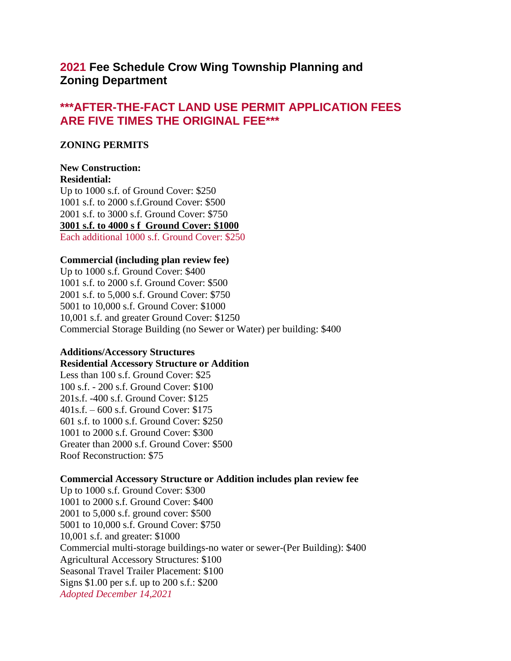# **2021 Fee Schedule Crow Wing Township Planning and Zoning Department**

# **\*\*\*AFTER-THE-FACT LAND USE PERMIT APPLICATION FEES ARE FIVE TIMES THE ORIGINAL FEE\*\*\***

## **ZONING PERMITS**

#### **New Construction: Residential:**

Up to 1000 s.f. of Ground Cover: \$250 1001 s.f. to 2000 s.f.Ground Cover: \$500 2001 s.f. to 3000 s.f. Ground Cover: \$750 **3001 s.f. to 4000 s f Ground Cover: \$1000** Each additional 1000 s.f. Ground Cover: \$250

# **Commercial (including plan review fee)**

Up to 1000 s.f. Ground Cover: \$400 1001 s.f. to 2000 s.f. Ground Cover: \$500 2001 s.f. to 5,000 s.f. Ground Cover: \$750 5001 to 10,000 s.f. Ground Cover: \$1000 10,001 s.f. and greater Ground Cover: \$1250 Commercial Storage Building (no Sewer or Water) per building: \$400

## **Additions/Accessory Structures**

# **Residential Accessory Structure or Addition**

Less than 100 s.f. Ground Cover: \$25 100 s.f. - 200 s.f. Ground Cover: \$100 201s.f. -400 s.f. Ground Cover: \$125 401s.f. – 600 s.f. Ground Cover: \$175 601 s.f. to 1000 s.f. Ground Cover: \$250 1001 to 2000 s.f. Ground Cover: \$300 Greater than 2000 s.f. Ground Cover: \$500 Roof Reconstruction: \$75

# **Commercial Accessory Structure or Addition includes plan review fee**

Up to 1000 s.f. Ground Cover: \$300 1001 to 2000 s.f. Ground Cover: \$400 2001 to 5,000 s.f. ground cover: \$500 5001 to 10,000 s.f. Ground Cover: \$750 10,001 s.f. and greater: \$1000 Commercial multi-storage buildings-no water or sewer-(Per Building): \$400 Agricultural Accessory Structures: \$100 Seasonal Travel Trailer Placement: \$100 Signs \$1.00 per s.f. up to 200 s.f.: \$200 *Adopted December 14,2021*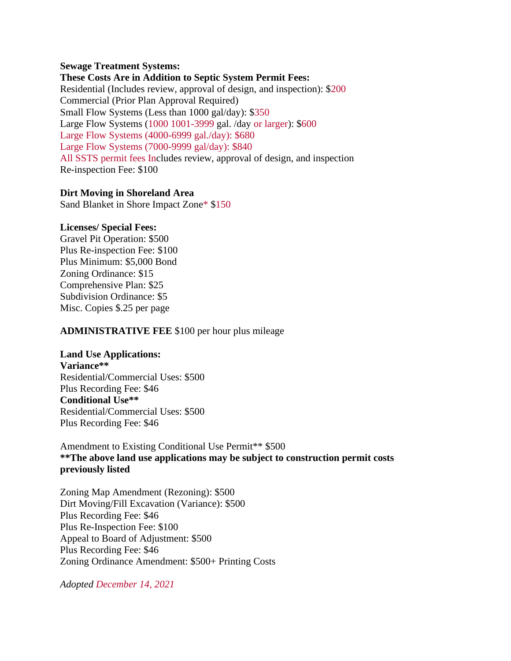### **Sewage Treatment Systems:**

**These Costs Are in Addition to Septic System Permit Fees:** Residential (Includes review, approval of design, and inspection): \$200 Commercial (Prior Plan Approval Required) Small Flow Systems (Less than 1000 gal/day): \$350 Large Flow Systems (1000 1001-3999 gal. /day or larger): \$600 Large Flow Systems (4000-6999 gal./day): \$680 Large Flow Systems (7000-9999 gal/day): \$840 All SSTS permit fees Includes review, approval of design, and inspection Re-inspection Fee: \$100

## **Dirt Moving in Shoreland Area**

Sand Blanket in Shore Impact Zone\* \$150

### **Licenses/ Special Fees:**

Gravel Pit Operation: \$500 Plus Re-inspection Fee: \$100 Plus Minimum: \$5,000 Bond Zoning Ordinance: \$15 Comprehensive Plan: \$25 Subdivision Ordinance: \$5 Misc. Copies \$.25 per page

## **ADMINISTRATIVE FEE** \$100 per hour plus mileage

## **Land Use Applications:**

**Variance\*\*** Residential/Commercial Uses: \$500 Plus Recording Fee: \$46 **Conditional Use\*\*** Residential/Commercial Uses: \$500 Plus Recording Fee: \$46

Amendment to Existing Conditional Use Permit<sup>\*\*</sup> \$500 **\*\*The above land use applications may be subject to construction permit costs previously listed**

Zoning Map Amendment (Rezoning): \$500 Dirt Moving/Fill Excavation (Variance): \$500 Plus Recording Fee: \$46 Plus Re-Inspection Fee: \$100 Appeal to Board of Adjustment: \$500 Plus Recording Fee: \$46 Zoning Ordinance Amendment: \$500+ Printing Costs

*Adopted December 14, 2021*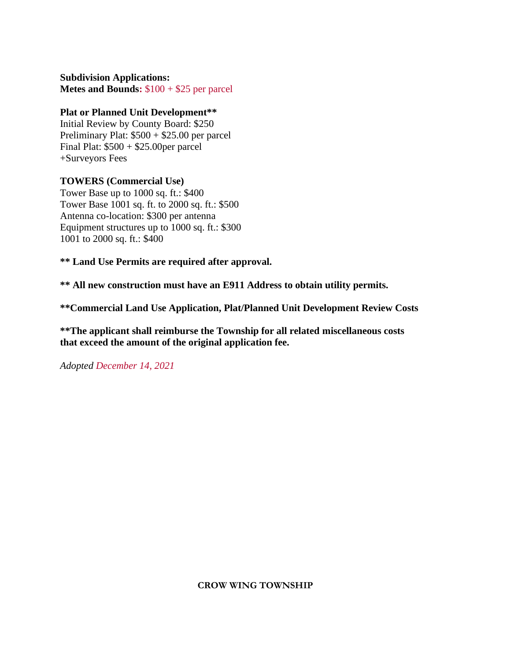**Subdivision Applications: Metes and Bounds:** \$100 + \$25 per parcel

# **Plat or Planned Unit Development\*\***

Initial Review by County Board: \$250 Preliminary Plat: \$500 + \$25.00 per parcel Final Plat: \$500 + \$25.00per parcel +Surveyors Fees

# **TOWERS (Commercial Use)**

Tower Base up to 1000 sq. ft.: \$400 Tower Base 1001 sq. ft. to 2000 sq. ft.: \$500 Antenna co-location: \$300 per antenna Equipment structures up to 1000 sq. ft.: \$300 1001 to 2000 sq. ft.: \$400

**\*\* Land Use Permits are required after approval.**

**\*\* All new construction must have an E911 Address to obtain utility permits.**

**\*\*Commercial Land Use Application, Plat/Planned Unit Development Review Costs**

**\*\*The applicant shall reimburse the Township for all related miscellaneous costs that exceed the amount of the original application fee.**

*Adopted December 14, 2021*

**CROW WING TOWNSHIP**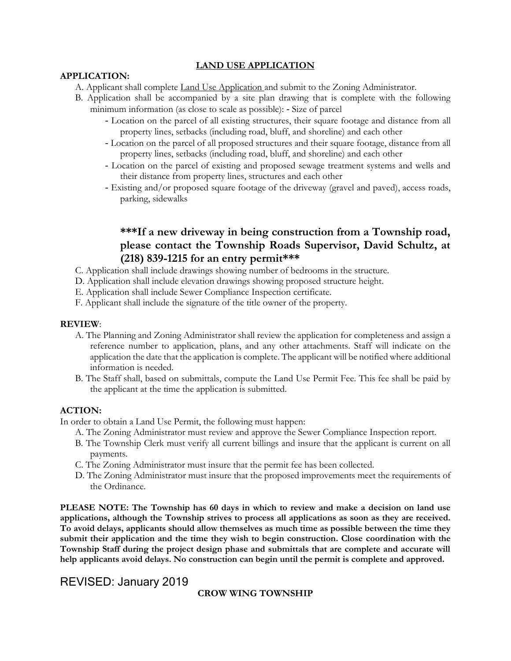#### **LAND USE APPLICATION**

#### **APPLICATION:**

- A. Applicant shall complete Land Use Application and submit to the Zoning Administrator.
- B. Application shall be accompanied by a site plan drawing that is complete with the following minimum information (as close to scale as possible): - Size of parcel
	- Location on the parcel of all existing structures, their square footage and distance from all property lines, setbacks (including road, bluff, and shoreline) and each other
	- Location on the parcel of all proposed structures and their square footage, distance from all property lines, setbacks (including road, bluff, and shoreline) and each other
	- Location on the parcel of existing and proposed sewage treatment systems and wells and their distance from property lines, structures and each other
	- Existing and/or proposed square footage of the driveway (gravel and paved), access roads, parking, sidewalks

# **\*\*\*If a new driveway in being construction from a Township road, please contact the Township Roads Supervisor, David Schultz, at (218) 839-1215 for an entry permit\*\*\***

- C. Application shall include drawings showing number of bedrooms in the structure.
- D. Application shall include elevation drawings showing proposed structure height.
- E. Application shall include Sewer Compliance Inspection certificate.
- F. Applicant shall include the signature of the title owner of the property.

#### **REVIEW**:

- A. The Planning and Zoning Administrator shall review the application for completeness and assign a reference number to application, plans, and any other attachments. Staff will indicate on the application the date that the application is complete. The applicant will be notified where additional information is needed.
- B. The Staff shall, based on submittals, compute the Land Use Permit Fee. This fee shall be paid by the applicant at the time the application is submitted.

#### **ACTION:**

In order to obtain a Land Use Permit, the following must happen:

- A. The Zoning Administrator must review and approve the Sewer Compliance Inspection report.
- B. The Township Clerk must verify all current billings and insure that the applicant is current on all payments.
- C. The Zoning Administrator must insure that the permit fee has been collected.
- D. The Zoning Administrator must insure that the proposed improvements meet the requirements of the Ordinance.

**PLEASE NOTE: The Township has 60 days in which to review and make a decision on land use applications, although the Township strives to process all applications as soon as they are received. To avoid delays, applicants should allow themselves as much time as possible between the time they submit their application and the time they wish to begin construction. Close coordination with the Township Staff during the project design phase and submittals that are complete and accurate will help applicants avoid delays. No construction can begin until the permit is complete and approved.** 

# REVISED: January 2019

### **CROW WING TOWNSHIP**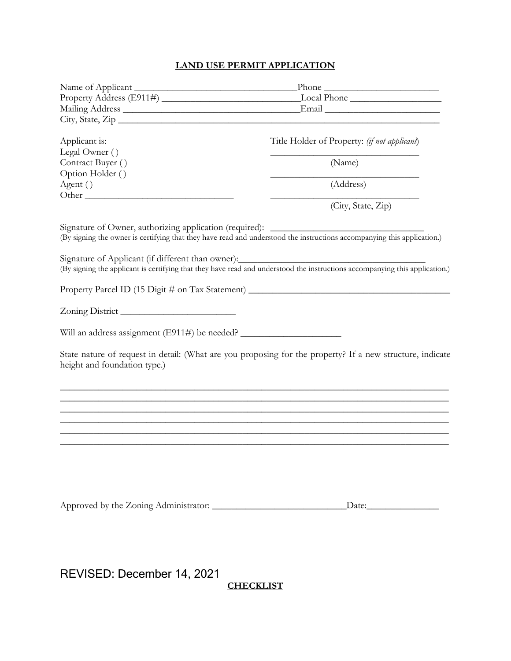# **LAND USE PERMIT APPLICATION**

| Applicant is:                                                                     | Title Holder of Property: (if not applicant)                                                                                |
|-----------------------------------------------------------------------------------|-----------------------------------------------------------------------------------------------------------------------------|
| Legal Owner ()                                                                    |                                                                                                                             |
| Contract Buyer ()                                                                 | (Name)                                                                                                                      |
| Option Holder ()                                                                  | (Address)                                                                                                                   |
| Agent ()                                                                          |                                                                                                                             |
|                                                                                   | (City, State, Zip)                                                                                                          |
|                                                                                   |                                                                                                                             |
|                                                                                   |                                                                                                                             |
| Signature of Owner, authorizing application (required): ________________________  | (By signing the owner is certifying that they have read and understood the instructions accompanying this application.)     |
|                                                                                   |                                                                                                                             |
| Signature of Applicant (if different than owner): _______________________________ |                                                                                                                             |
|                                                                                   | (By signing the applicant is certifying that they have read and understood the instructions accompanying this application.) |
|                                                                                   |                                                                                                                             |
|                                                                                   | Property Parcel ID (15 Digit # on Tax Statement) ________________________________                                           |
|                                                                                   |                                                                                                                             |
|                                                                                   |                                                                                                                             |
|                                                                                   |                                                                                                                             |
|                                                                                   |                                                                                                                             |
| height and foundation type.)                                                      | State nature of request in detail: (What are you proposing for the property? If a new structure, indicate                   |
|                                                                                   |                                                                                                                             |
|                                                                                   |                                                                                                                             |
|                                                                                   |                                                                                                                             |
|                                                                                   |                                                                                                                             |
|                                                                                   |                                                                                                                             |
|                                                                                   |                                                                                                                             |
|                                                                                   |                                                                                                                             |
|                                                                                   |                                                                                                                             |
|                                                                                   |                                                                                                                             |
|                                                                                   |                                                                                                                             |
|                                                                                   | $\Delta$ Date: $\Delta$                                                                                                     |
|                                                                                   |                                                                                                                             |

REVISED: December 14, 2021

**CHECKLIST**